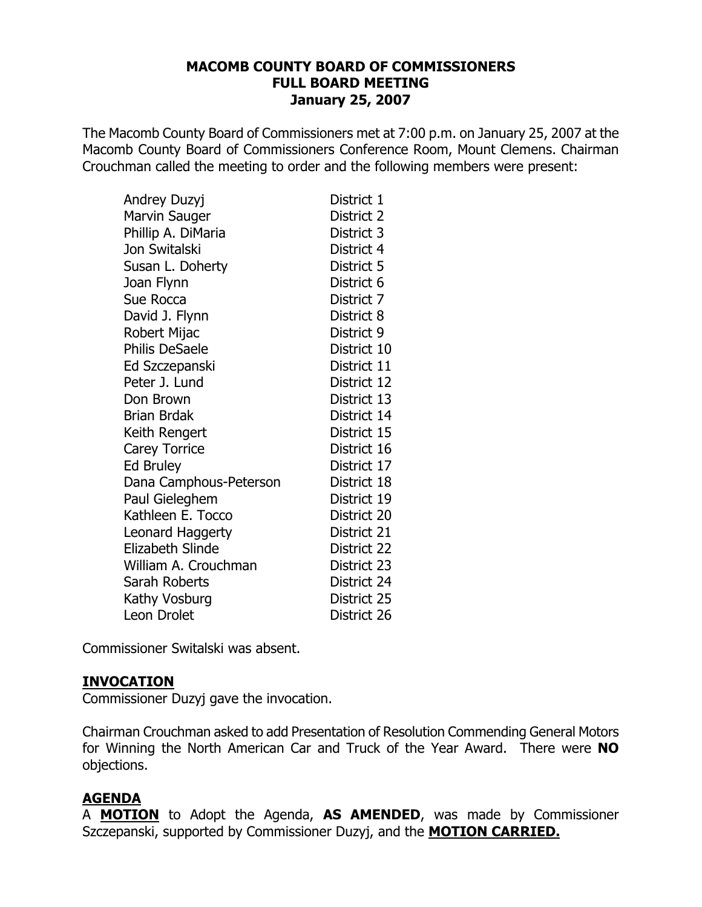#### **MACOMB COUNTY BOARD OF COMMISSIONERS FULL BOARD MEETING January 25, 2007**

The Macomb County Board of Commissioners met at 7:00 p.m. on January 25, 2007 at the Macomb County Board of Commissioners Conference Room, Mount Clemens. Chairman Crouchman called the meeting to order and the following members were present:

| Andrey Duzyj            | District 1  |
|-------------------------|-------------|
| Marvin Sauger           | District 2  |
| Phillip A. DiMaria      | District 3  |
| Jon Switalski           | District 4  |
| Susan L. Doherty        | District 5  |
| Joan Flynn              | District 6  |
| Sue Rocca               | District 7  |
| David J. Flynn          | District 8  |
| Robert Mijac            | District 9  |
| <b>Philis DeSaele</b>   | District 10 |
| Ed Szczepanski          | District 11 |
| Peter J. Lund           | District 12 |
| Don Brown               | District 13 |
| Brian Brdak             | District 14 |
| Keith Rengert           | District 15 |
| <b>Carey Torrice</b>    | District 16 |
| <b>Ed Bruley</b>        | District 17 |
| Dana Camphous-Peterson  | District 18 |
| Paul Gieleghem          | District 19 |
| Kathleen E. Tocco       | District 20 |
| Leonard Haggerty        | District 21 |
| <b>Elizabeth Slinde</b> | District 22 |
| William A. Crouchman    | District 23 |
| Sarah Roberts           | District 24 |
| Kathy Vosburg           | District 25 |
| Leon Drolet             | District 26 |

Commissioner Switalski was absent.

### **INVOCATION**

Commissioner Duzyj gave the invocation.

Chairman Crouchman asked to add Presentation of Resolution Commending General Motors for Winning the North American Car and Truck of the Year Award. There were NO objections.

# **AGENDA**

A **MOTION** to Adopt the Agenda, AS AMENDED, was made by Commissioner Szczepanski, supported by Commissioner Duzyj, and the **MOTION CARRIED.**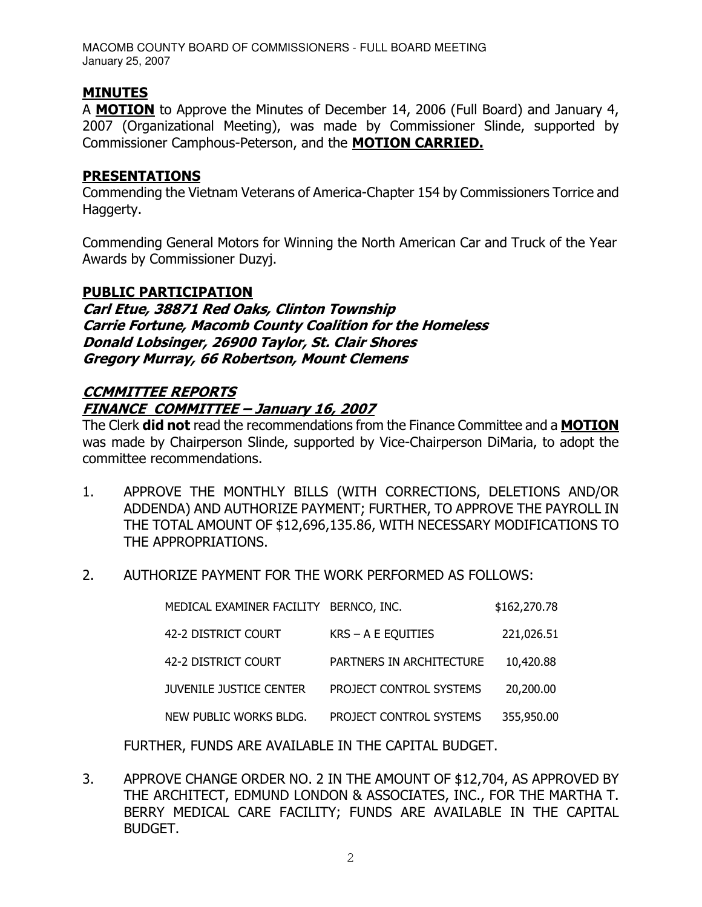MACOMB COUNTY BOARD OF COMMISSIONERS - FULL BOARD MEETING January 25, 2007

# **MINUTES**

A MOTION to Approve the Minutes of December 14, 2006 (Full Board) and January 4, 2007 (Organizational Meeting), was made by Commissioner Slinde, supported by Commissioner Camphous-Peterson, and the MOTION CARRIED.

#### **PRESENTATIONS**

Commending the Vietnam Veterans of America-Chapter 154 by Commissioners Torrice and Haggerty.

Commending General Motors for Winning the North American Car and Truck of the Year Awards by Commissioner Duzyi.

### **PUBLIC PARTICIPATION**

Carl Etue, 38871 Red Oaks, Clinton Township **Carrie Fortune, Macomb County Coalition for the Homeless** Donald Lobsinger, 26900 Taylor, St. Clair Shores **Gregory Murray, 66 Robertson, Mount Clemens** 

# **CCMMITTEE REPORTS FINANCE COMMITTEE - January 16, 2007**

The Clerk **did not** read the recommendations from the Finance Committee and a **MOTION** was made by Chairperson Slinde, supported by Vice-Chairperson DiMaria, to adopt the committee recommendations.

- $1.$ APPROVE THE MONTHLY BILLS (WITH CORRECTIONS, DELETIONS AND/OR ADDENDA) AND AUTHORIZE PAYMENT; FURTHER, TO APPROVE THE PAYROLL IN THE TOTAL AMOUNT OF \$12,696,135.86, WITH NECESSARY MODIFICATIONS TO THE APPROPRIATIONS.
- $2.$ AUTHORIZE PAYMENT FOR THE WORK PERFORMED AS FOLLOWS:

| MEDICAL EXAMINER FACILITY BERNCO, INC. |                          | \$162,270.78 |
|----------------------------------------|--------------------------|--------------|
| 42-2 DISTRICT COURT                    | $KRS - A E EQUITIES$     | 221,026.51   |
| 42-2 DISTRICT COURT                    | PARTNERS IN ARCHITECTURE | 10,420.88    |
| <b>JUVENILE JUSTICE CENTER</b>         | PROJECT CONTROL SYSTEMS  | 20,200.00    |
| NEW PUBLIC WORKS BLDG.                 | PROJECT CONTROL SYSTEMS  | 355,950.00   |

FURTHER, FUNDS ARE AVAILABLE IN THE CAPITAL BUDGET.

3. APPROVE CHANGE ORDER NO. 2 IN THE AMOUNT OF \$12,704, AS APPROVED BY THE ARCHITECT, EDMUND LONDON & ASSOCIATES, INC., FOR THE MARTHA T. BERRY MEDICAL CARE FACILITY; FUNDS ARE AVAILABLE IN THE CAPITAL BUDGET.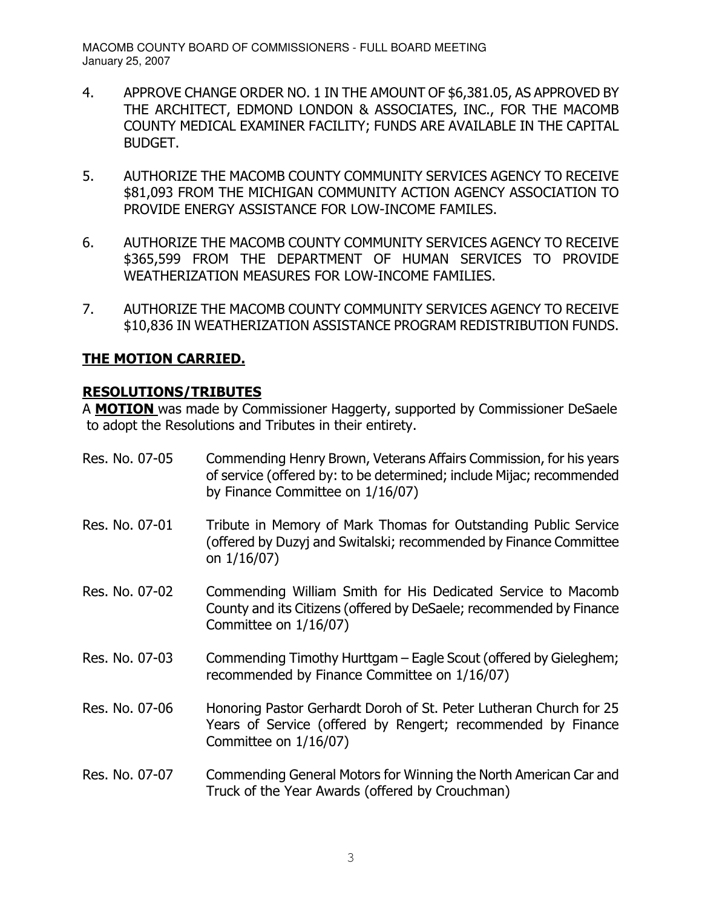- 4. APPROVE CHANGE ORDER NO. 1 IN THE AMOUNT OF \$6,381.05, AS APPROVED BY THE ARCHITECT, EDMOND LONDON & ASSOCIATES, INC., FOR THE MACOMB COUNTY MEDICAL EXAMINER FACILITY; FUNDS ARE AVAILABLE IN THE CAPITAL **BUDGET.**
- 5. AUTHORIZE THE MACOMB COUNTY COMMUNITY SERVICES AGENCY TO RECEIVE \$81,093 FROM THE MICHIGAN COMMUNITY ACTION AGENCY ASSOCIATION TO PROVIDE ENERGY ASSISTANCE FOR LOW-INCOME FAMILES.
- 6. AUTHORIZE THE MACOMB COUNTY COMMUNITY SERVICES AGENCY TO RECEIVE \$365,599 FROM THE DEPARTMENT OF HUMAN SERVICES TO PROVIDE WEATHERIZATION MEASURES FOR LOW-INCOME FAMILIES.
- $7.$ AUTHORIZE THE MACOMB COUNTY COMMUNITY SERVICES AGENCY TO RECEIVE \$10,836 IN WEATHERIZATION ASSISTANCE PROGRAM REDISTRIBUTION FUNDS.

# **THE MOTION CARRIED.**

# **RESOLUTIONS/TRIBUTES**

A MOTION was made by Commissioner Haggerty, supported by Commissioner DeSaele to adopt the Resolutions and Tributes in their entirety.

Res. No. 07-05 Commending Henry Brown, Veterans Affairs Commission, for his years of service (offered by: to be determined; include Mijac; recommended by Finance Committee on 1/16/07) Res. No. 07-01 Tribute in Memory of Mark Thomas for Outstanding Public Service (offered by Duzyj and Switalski; recommended by Finance Committee on  $1/16/07$ ) Res. No. 07-02 Commending William Smith for His Dedicated Service to Macomb County and its Citizens (offered by DeSaele; recommended by Finance Committee on 1/16/07) Res. No. 07-03 Commending Timothy Hurttgam – Eagle Scout (offered by Gieleghem; recommended by Finance Committee on 1/16/07) Res. No. 07-06 Honoring Pastor Gerhardt Doroh of St. Peter Lutheran Church for 25 Years of Service (offered by Rengert; recommended by Finance Committee on 1/16/07) Res. No. 07-07 Commending General Motors for Winning the North American Car and Truck of the Year Awards (offered by Crouchman)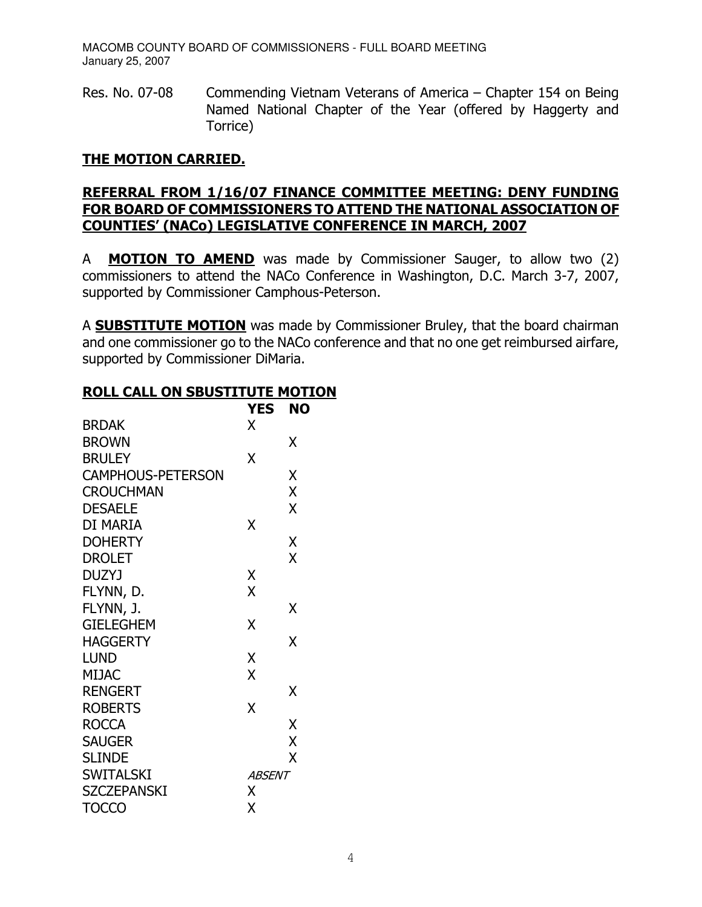Res. No. 07-08 Commending Vietnam Veterans of America – Chapter 154 on Being Named National Chapter of the Year (offered by Haggerty and Torrice)

# **THE MOTION CARRIED.**

# REFERRAL FROM 1/16/07 FINANCE COMMITTEE MEETING: DENY FUNDING FOR BOARD OF COMMISSIONERS TO ATTEND THE NATIONAL ASSOCIATION OF **COUNTIES' (NACo) LEGISLATIVE CONFERENCE IN MARCH, 2007**

**MOTION TO AMEND** was made by Commissioner Sauger, to allow two (2) A commissioners to attend the NACo Conference in Washington, D.C. March 3-7, 2007, supported by Commissioner Camphous-Peterson.

A **SUBSTITUTE MOTION** was made by Commissioner Bruley, that the board chairman and one commissioner go to the NACo conference and that no one get reimbursed airfare, supported by Commissioner DiMaria.

### **ROLL CALL ON SBUSTITUTE MOTION**

|                          | YES           | NO |
|--------------------------|---------------|----|
| <b>BRDAK</b>             | X             |    |
| <b>BROWN</b>             |               | Χ  |
| <b>BRULEY</b>            | χ             |    |
| <b>CAMPHOUS-PETERSON</b> |               | Χ  |
| <b>CROUCHMAN</b>         |               | X  |
| <b>DESAELE</b>           |               | X  |
| DI MARIA                 | Χ             |    |
| <b>DOHERTY</b>           |               | Χ  |
| <b>DROLET</b>            |               | X  |
| <b>DUZYJ</b>             | Χ             |    |
| FLYNN, D.                | X             |    |
| FLYNN, J.                |               | χ  |
| <b>GIELEGHEM</b>         | X             |    |
| <b>HAGGERTY</b>          |               | X  |
| <b>LUND</b>              | Χ             |    |
| <b>MIJAC</b>             | X             |    |
| <b>RENGERT</b>           |               | χ  |
| <b>ROBERTS</b>           | Χ             |    |
| <b>ROCCA</b>             |               | X  |
| <b>SAUGER</b>            |               | X  |
| <b>SLINDE</b>            |               | X  |
| <b>SWITALSKI</b>         | <i>ABSENT</i> |    |
| <b>SZCZEPANSKI</b>       | X             |    |
| <b>TOCCO</b>             | Χ             |    |
|                          |               |    |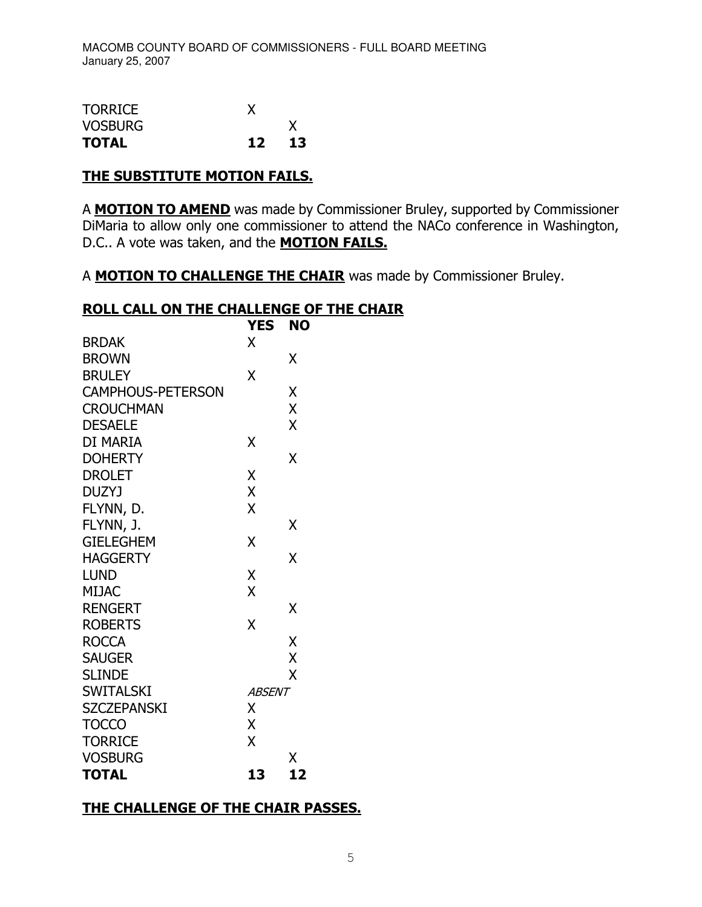| <b>TOTAL</b>   | 12 | 13 |
|----------------|----|----|
| <b>VOSBURG</b> |    |    |
| <b>TORRICE</b> |    |    |

#### **THE SUBSTITUTE MOTION FAILS.**

A **MOTION TO AMEND** was made by Commissioner Bruley, supported by Commissioner DiMaria to allow only one commissioner to attend the NACo conference in Washington, D.C.. A vote was taken, and the **MOTION FAILS.** 

A MOTION TO CHALLENGE THE CHAIR was made by Commissioner Bruley.

### **ROLL CALL ON THE CHALLENGE OF THE CHAIR**

|                          | <b>YES</b>    | <b>NO</b> |  |
|--------------------------|---------------|-----------|--|
| <b>BRDAK</b>             | X             |           |  |
| <b>BROWN</b>             |               | χ         |  |
| <b>BRULEY</b>            | χ             |           |  |
| <b>CAMPHOUS-PETERSON</b> |               | X         |  |
| <b>CROUCHMAN</b>         |               | X         |  |
| <b>DESAELE</b>           |               | X         |  |
| DI MARIA                 | χ             |           |  |
| <b>DOHERTY</b>           |               | χ         |  |
| <b>DROLET</b>            | Χ             |           |  |
| <b>DUZYJ</b>             | X             |           |  |
| FLYNN, D.                | X             |           |  |
| FLYNN, J.                |               | χ         |  |
| <b>GIELEGHEM</b>         | X             |           |  |
| <b>HAGGERTY</b>          |               | χ         |  |
| <b>LUND</b>              | Χ             |           |  |
| <b>MIJAC</b>             | X             |           |  |
| <b>RENGERT</b>           |               | χ         |  |
| <b>ROBERTS</b>           | X             |           |  |
| <b>ROCCA</b>             |               | X         |  |
| <b>SAUGER</b>            |               | X         |  |
| <b>SLINDE</b>            |               | X         |  |
| <b>SWITALSKI</b>         | <b>ABSENT</b> |           |  |
| <b>SZCZEPANSKI</b>       | X             |           |  |
| <b>TOCCO</b>             | Χ             |           |  |
| <b>TORRICE</b>           | X             |           |  |
| <b>VOSBURG</b>           |               | Χ         |  |
| <b>TOTAL</b>             | 13            | 12        |  |

# THE CHALLENGE OF THE CHAIR PASSES.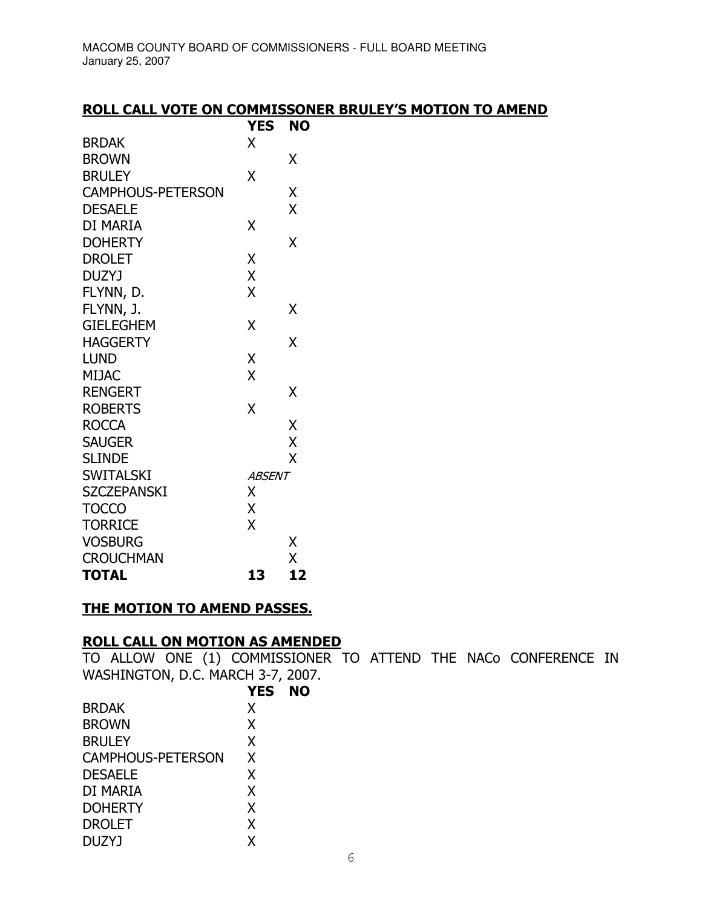| <b>ROLL CALL VOTE ON COMMISSONER BRULEY'S MOTION TO AMEND</b> |        |  |  |
|---------------------------------------------------------------|--------|--|--|
|                                                               | VEC NA |  |  |

|                          | YES.          | NO |
|--------------------------|---------------|----|
| <b>BRDAK</b>             | X             |    |
| <b>BROWN</b>             |               | X  |
| <b>BRULEY</b>            | Χ             |    |
| <b>CAMPHOUS-PETERSON</b> |               | Χ  |
| <b>DESAELE</b>           |               | X  |
| DI MARIA                 | Χ             |    |
| <b>DOHERTY</b>           |               | X  |
| <b>DROLET</b>            | X             |    |
| <b>DUZYJ</b>             | X             |    |
| FLYNN, D.                | X             |    |
| FLYNN, J.                |               | Χ  |
| <b>GIELEGHEM</b>         | X             |    |
| <b>HAGGERTY</b>          |               | X  |
| <b>LUND</b>              | Χ             |    |
| <b>MIJAC</b>             | X             |    |
| <b>RENGERT</b>           |               | X  |
| <b>ROBERTS</b>           | X             |    |
| <b>ROCCA</b>             |               | Χ  |
| <b>SAUGER</b>            |               | X  |
| <b>SLINDE</b>            |               | X  |
| <b>SWITALSKI</b>         | <b>ABSENT</b> |    |
| <b>SZCZEPANSKI</b>       | X             |    |
| <b>TOCCO</b>             | X             |    |
| <b>TORRICE</b>           | X             |    |
| <b>VOSBURG</b>           |               | Χ  |
| <b>CROUCHMAN</b>         |               | Χ  |
| <b>TOTAL</b>             | 13            | 12 |

# THE MOTION TO AMEND PASSES.

ROLL CALL ON MOTION AS AMENDED<br>TO ALLOW ONE (1) COMMISSIONER TO ATTEND THE NACO CONFERENCE IN WASHINGTON, D.C. MARCH 3-7, 2007.

| <b>YES</b> | NO |
|------------|----|
| X          |    |
| X          |    |
| X          |    |
| X          |    |
| X          |    |
| X          |    |
| X          |    |
| X          |    |
| x          |    |
|            |    |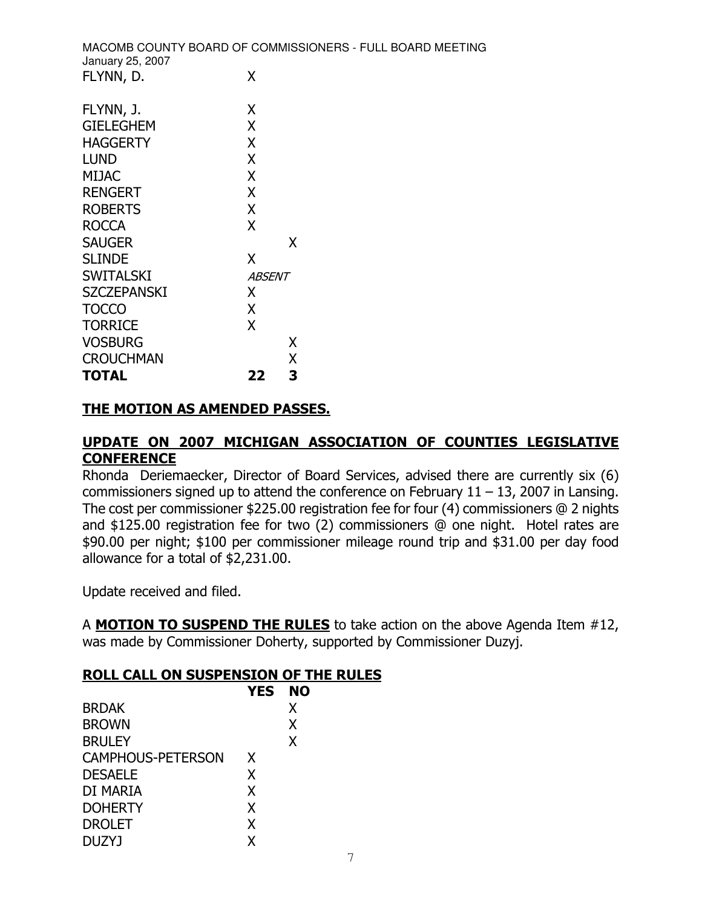MACOMB COUNTY BOARD OF COMMISSIONERS - FULL BOARD MEETING January 25, 2007  $\mathsf{X}$ FLYNN, D. FLYNN, J. X  $CIEI ECHEN$  $\mathbf{v}$ 

| <b>TOTAL</b>         | 22            | 3 |
|----------------------|---------------|---|
| <b>CROUCHMAN</b>     |               | X |
| <b>VOSBURG</b>       |               | X |
| <b>TORRICE</b>       | X             |   |
| <b>TOCCO</b>         | X             |   |
| <b>SZCZEPANSKI</b>   | Χ             |   |
| <b>SWITALSKI</b>     | <i>ABSENT</i> |   |
| <b>SLINDE</b>        | χ             |   |
| <b>SAUGER</b>        |               | X |
| <b>ROCCA</b>         | X             |   |
| <b>ROBERTS</b>       | X             |   |
| <b>RENGERT</b>       | X             |   |
| <b>MIJAC</b>         | X             |   |
| <b>LUND</b>          | Χ             |   |
| <b>HAGGERTY</b>      | X             |   |
| <u>GILLLOI ILIYI</u> | ∧             |   |

### **THE MOTION AS AMENDED PASSES.**

# UPDATE ON 2007 MICHIGAN ASSOCIATION OF COUNTIES LEGISLATIVE **CONFERENCE**

Rhonda Deriemaecker, Director of Board Services, advised there are currently six (6) commissioners signed up to attend the conference on February  $11 - 13$ , 2007 in Lansing. The cost per commissioner \$225.00 registration fee for four  $(4)$  commissioners @ 2 nights and \$125.00 registration fee for two (2) commissioners @ one night. Hotel rates are \$90.00 per night; \$100 per commissioner mileage round trip and \$31.00 per day food allowance for a total of \$2,231.00.

Update received and filed.

A MOTION TO SUSPEND THE RULES to take action on the above Agenda Item #12, was made by Commissioner Doherty, supported by Commissioner Duzyj.

#### ROLL CALL ON SUSPENSION OF THE RULES

|                          | <b>YES</b> | <b>NO</b> |  |
|--------------------------|------------|-----------|--|
| <b>BRDAK</b>             |            | X         |  |
| <b>BROWN</b>             |            | X         |  |
| <b>BRULEY</b>            |            | X         |  |
| <b>CAMPHOUS-PETERSON</b> | X.         |           |  |
| <b>DESAELE</b>           | X          |           |  |
| DI MARIA                 | X          |           |  |
| <b>DOHERTY</b>           | X          |           |  |
| <b>DROLET</b>            | X          |           |  |
| DUZYJ                    |            |           |  |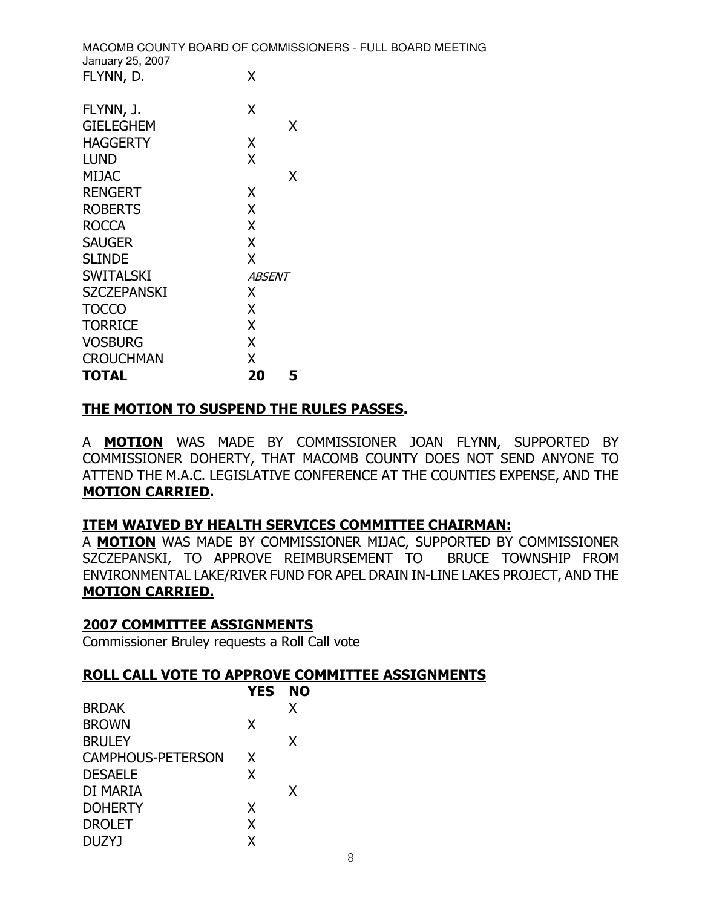MACOMB COUNTY BOARD OF COMMISSIONERS - FULL BOARD MEETING January 25, 2007  $\mathsf{X}$ FLYNN, D.

| FLYNN, J.<br><b>GIELEGHEM</b> | x<br>χ        |
|-------------------------------|---------------|
| <b>HAGGERTY</b>               | Χ             |
| LUND                          | X             |
| MIJAC                         | x             |
| RENGERT                       | χ             |
| <b>ROBERTS</b>                | X             |
| ROCCA                         | X             |
| <b>SAUGER</b>                 | X             |
| <b>SLINDE</b>                 | X             |
| <b>SWITALSKI</b>              | <i>ABSENT</i> |
| SZCZEPANSKI                   | x             |
| <b>TOCCO</b>                  | X             |
| <b>TORRICE</b>                | X             |
| <b>VOSBURG</b>                | X             |
| <b>CROUCHMAN</b>              | x             |
| <b>TOTAL</b>                  | 20<br>5       |

### THE MOTION TO SUSPEND THE RULES PASSES.

A MOTION WAS MADE BY COMMISSIONER JOAN FLYNN, SUPPORTED BY COMMISSIONER DOHERTY, THAT MACOMB COUNTY DOES NOT SEND ANYONE TO ATTEND THE M.A.C. LEGISLATIVE CONFERENCE AT THE COUNTIES EXPENSE, AND THE **MOTION CARRIED.** 

### ITEM WAIVED BY HEALTH SERVICES COMMITTEE CHAIRMAN:

A **MOTION** WAS MADE BY COMMISSIONER MIJAC, SUPPORTED BY COMMISSIONER SZCZEPANSKI, TO APPROVE REIMBURSEMENT TO BRUCE TOWNSHIP FROM ENVIRONMENTAL LAKE/RIVER FUND FOR APEL DRAIN IN-LINE LAKES PROJECT, AND THE **MOTION CARRIED.** 

#### **2007 COMMITTEE ASSIGNMENTS**

Commissioner Bruley requests a Roll Call vote

#### ROLL CALL VOTE TO APPROVE COMMITTEE ASSIGNMENTS

|                          | YES NO |   |
|--------------------------|--------|---|
| <b>BRDAK</b>             |        | X |
| <b>BROWN</b>             | x      |   |
| <b>BRULEY</b>            |        | X |
| <b>CAMPHOUS-PETERSON</b> | X      |   |
| <b>DESAELE</b>           | x      |   |
| DI MARIA                 |        | X |
| <b>DOHERTY</b>           | X      |   |
| <b>DROLET</b>            | χ      |   |
| <b>DUZYJ</b>             |        |   |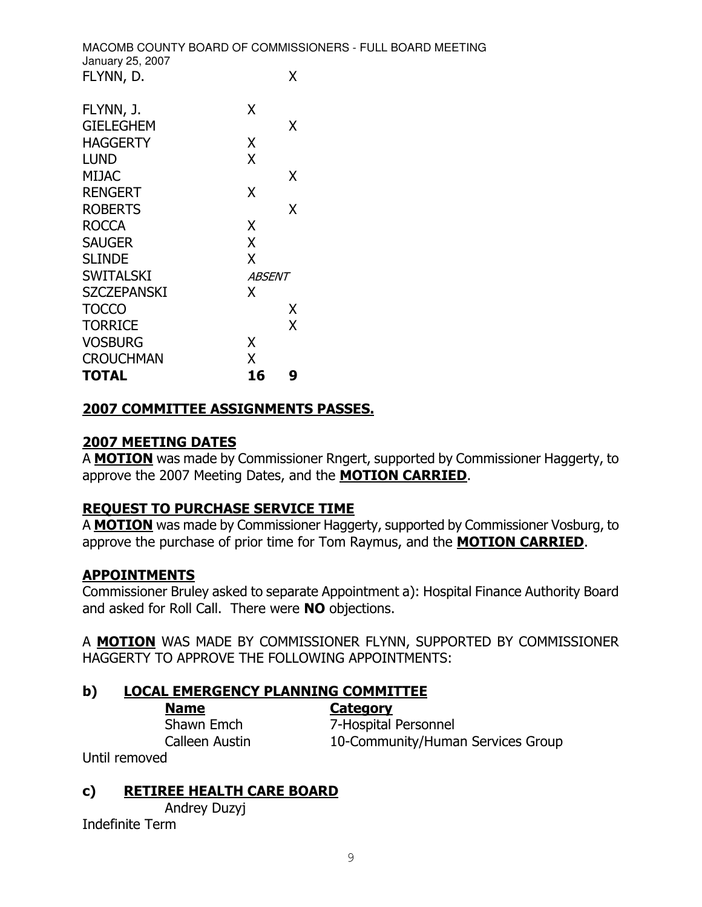MACOMB COUNTY BOARD OF COMMISSIONERS - FULL BOARD MEETING January 25, 2007  $\mathsf{X}$ FLYNN, D.

| FLYNN, J.          | x             |   |
|--------------------|---------------|---|
| <b>GIELEGHEM</b>   |               | χ |
| <b>HAGGERTY</b>    | X             |   |
| LUND               | χ             |   |
| MIJAC              |               | x |
| <b>RENGERT</b>     | x             |   |
| <b>ROBERTS</b>     |               | x |
| ROCCA              | x             |   |
| <b>SAUGER</b>      | X             |   |
| <b>SLINDE</b>      | X             |   |
| <b>SWITALSKI</b>   | <i>ABSENT</i> |   |
| <b>SZCZEPANSKI</b> | x             |   |
| <b>TOCCO</b>       |               | Χ |
| <b>TORRICE</b>     |               | X |
| <b>VOSBURG</b>     | x             |   |
| <b>CROUCHMAN</b>   | x             |   |
| <b>TOTAL</b>       | 16            | g |

# **2007 COMMITTEE ASSIGNMENTS PASSES.**

### **2007 MEETING DATES**

A MOTION was made by Commissioner Rngert, supported by Commissioner Haggerty, to approve the 2007 Meeting Dates, and the MOTION CARRIED.

### **REQUEST TO PURCHASE SERVICE TIME**

A **MOTION** was made by Commissioner Haggerty, supported by Commissioner Vosburg, to approve the purchase of prior time for Tom Raymus, and the **MOTION CARRIED**.

### **APPOINTMENTS**

Commissioner Bruley asked to separate Appointment a): Hospital Finance Authority Board and asked for Roll Call. There were NO objections.

A **MOTION** WAS MADE BY COMMISSIONER FLYNN, SUPPORTED BY COMMISSIONER HAGGERTY TO APPROVE THE FOLLOWING APPOINTMENTS:

#### b) **LOCAL EMERGENCY PLANNING COMMITTEE**

**Category** 

Shawn Emch Calleen Austin

**Name** 

7-Hospital Personnel 10-Community/Human Services Group

Until removed

#### c) **RETIREE HEALTH CARE BOARD**

Andrey Duzyj Indefinite Term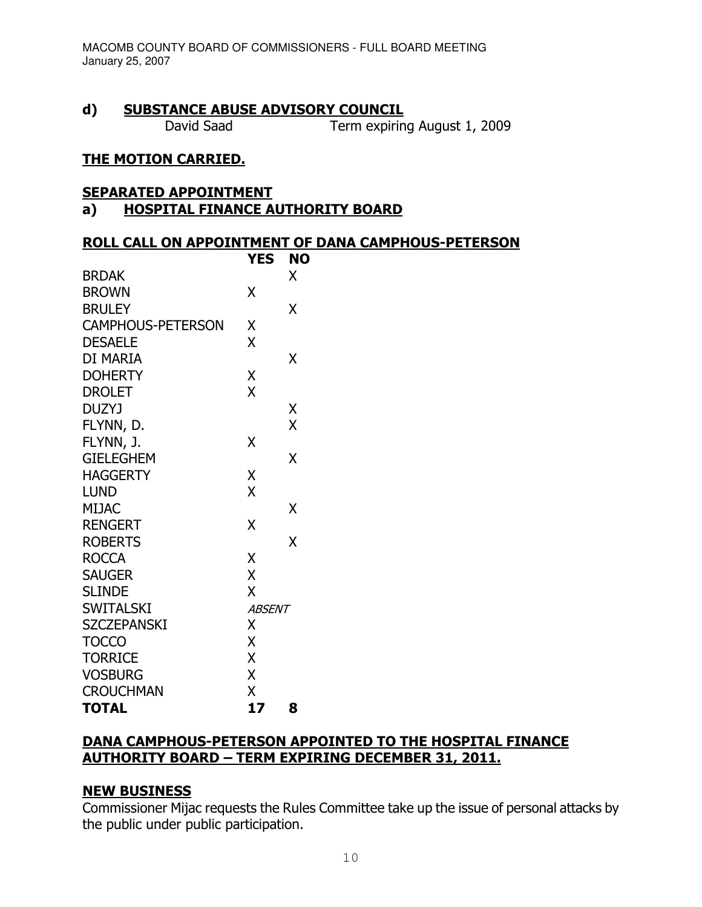#### $\mathbf{d}$ **SUBSTANCE ABUSE ADVISORY COUNCIL**

David Saad

Term expiring August 1, 2009

#### **THE MOTION CARRIED.**

#### **SEPARATED APPOINTMENT**

#### **HOSPITAL FINANCE AUTHORITY BOARD**  $a)$

#### **ROLL CALL ON APPOINTMENT OF DANA CAMPHOUS-PETERSON**

|                          | YES           | <b>NO</b> |
|--------------------------|---------------|-----------|
| <b>BRDAK</b>             |               | Χ         |
| <b>BROWN</b>             | X             |           |
| <b>BRULEY</b>            |               | X         |
| <b>CAMPHOUS-PETERSON</b> | χ             |           |
| <b>DESAELE</b>           | X             |           |
| DI MARIA                 |               | Χ         |
| <b>DOHERTY</b>           | Χ             |           |
| <b>DROLET</b>            | X             |           |
| DUZYJ                    |               | Χ         |
| FLYNN, D.                |               | X         |
| FLYNN, J.                | X             |           |
| <b>GIELEGHEM</b>         |               | X         |
| <b>HAGGERTY</b>          | X             |           |
| <b>LUND</b>              | X             |           |
| <b>MIJAC</b>             |               | Χ         |
| <b>RENGERT</b>           | X             |           |
| <b>ROBERTS</b>           |               | X         |
| <b>ROCCA</b>             | Χ             |           |
| <b>SAUGER</b>            | X             |           |
| <b>SLINDE</b>            | X             |           |
| <b>SWITALSKI</b>         | <b>ABSENT</b> |           |
| <b>SZCZEPANSKI</b>       | Χ             |           |
| <b>TOCCO</b>             | X             |           |
| <b>TORRICE</b>           | X             |           |
| <b>VOSBURG</b>           | X             |           |
| <b>CROUCHMAN</b>         | X             |           |
| <b>TOTAL</b>             | 17            | 8         |

#### DANA CAMPHOUS-PETERSON APPOINTED TO THE HOSPITAL FINANCE **AUTHORITY BOARD - TERM EXPIRING DECEMBER 31, 2011.**

#### **NEW BUSINESS**

Commissioner Mijac requests the Rules Committee take up the issue of personal attacks by the public under public participation.